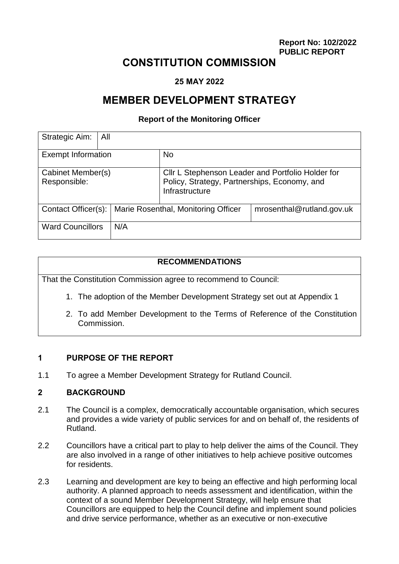**[Report No:](file:///S:/Meetings%20-%20tfr%20to%20Sharepoint/REPORT%20NUMBERS) 102/2022 PUBLIC REPORT**

# **CONSTITUTION COMMISSION**

#### **25 MAY 2022**

# **MEMBER DEVELOPMENT STRATEGY**

#### **Report of the Monitoring Officer**

| Strategic Aim:<br>All             |                                     |                                                                                                                     |                           |
|-----------------------------------|-------------------------------------|---------------------------------------------------------------------------------------------------------------------|---------------------------|
| <b>Exempt Information</b>         |                                     | <b>No</b>                                                                                                           |                           |
| Cabinet Member(s)<br>Responsible: |                                     | CIIr L Stephenson Leader and Portfolio Holder for<br>Policy, Strategy, Partnerships, Economy, and<br>Infrastructure |                           |
| Contact Officer(s):               | Marie Rosenthal, Monitoring Officer |                                                                                                                     | mrosenthal@rutland.gov.uk |
| <b>Ward Councillors</b>           | N/A                                 |                                                                                                                     |                           |

#### **RECOMMENDATIONS**

That the Constitution Commission agree to recommend to Council:

- 1. The adoption of the Member Development Strategy set out at Appendix 1
- 2. To add Member Development to the Terms of Reference of the Constitution Commission.

#### **1 PURPOSE OF THE REPORT**

1.1 To agree a Member Development Strategy for Rutland Council.

#### **2 BACKGROUND**

- 2.1 The Council is a complex, democratically accountable organisation, which secures and provides a wide variety of public services for and on behalf of, the residents of Rutland.
- 2.2 Councillors have a critical part to play to help deliver the aims of the Council. They are also involved in a range of other initiatives to help achieve positive outcomes for residents.
- 2.3 Learning and development are key to being an effective and high performing local authority. A planned approach to needs assessment and identification, within the context of a sound Member Development Strategy, will help ensure that Councillors are equipped to help the Council define and implement sound policies and drive service performance, whether as an executive or non-executive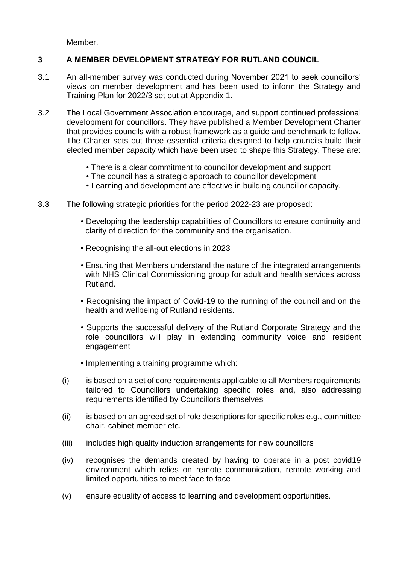Member.

# **3 A MEMBER DEVELOPMENT STRATEGY FOR RUTLAND COUNCIL**

- 3.1 An all-member survey was conducted during November 2021 to seek councillors' views on member development and has been used to inform the Strategy and Training Plan for 2022/3 set out at Appendix 1.
- 3.2 The Local Government Association encourage, and support continued professional development for councillors. They have published a Member Development Charter that provides councils with a robust framework as a guide and benchmark to follow. The Charter sets out three essential criteria designed to help councils build their elected member capacity which have been used to shape this Strategy. These are:
	- There is a clear commitment to councillor development and support
	- The council has a strategic approach to councillor development
	- Learning and development are effective in building councillor capacity.
- 3.3 The following strategic priorities for the period 2022-23 are proposed:
	- Developing the leadership capabilities of Councillors to ensure continuity and clarity of direction for the community and the organisation.
	- Recognising the all-out elections in 2023
	- Ensuring that Members understand the nature of the integrated arrangements with NHS Clinical Commissioning group for adult and health services across Rutland.
	- Recognising the impact of Covid-19 to the running of the council and on the health and wellbeing of Rutland residents.
	- Supports the successful delivery of the Rutland Corporate Strategy and the role councillors will play in extending community voice and resident engagement
	- Implementing a training programme which:
	- (i) is based on a set of core requirements applicable to all Members requirements tailored to Councillors undertaking specific roles and, also addressing requirements identified by Councillors themselves
	- (ii) is based on an agreed set of role descriptions for specific roles e.g., committee chair, cabinet member etc.
	- (iii) includes high quality induction arrangements for new councillors
	- (iv) recognises the demands created by having to operate in a post covid19 environment which relies on remote communication, remote working and limited opportunities to meet face to face
	- (v) ensure equality of access to learning and development opportunities.